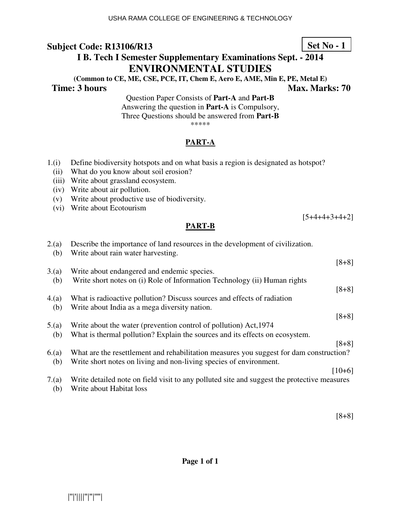(ii) What do you know about soil erosion? (iii) Write about grassland ecosystem.

(v) Write about productive use of biodiversity.

(iv) Write about air pollution.

# **I B. Tech I Semester Supplementary Examinations Sept. - 2014 ENVIRONMENTAL STUDIES**

**(Common to CE, ME, CSE, PCE, IT, Chem E, Aero E, AME, Min E, PE, Metal E)** 

Question Paper Consists of **Part-A** and **Part-B** Answering the question in **Part-A** is Compulsory, Three Questions should be answered from **Part-B** \*\*\*\*\*

### **PART-A**

1.(i) Define biodiversity hotspots and on what basis a region is designated as hotspot?

| (vi)        | Write about Ecotourism                                                                                                  |  |
|-------------|-------------------------------------------------------------------------------------------------------------------------|--|
|             | $[5+4+4+3+4+2]$                                                                                                         |  |
|             | <b>PART-B</b>                                                                                                           |  |
| 2(a)<br>(b) | Describe the importance of land resources in the development of civilization.<br>Write about rain water harvesting.     |  |
|             | $[8+8]$                                                                                                                 |  |
| 3(a)        | Write about endangered and endemic species.                                                                             |  |
| (b)         | Write short notes on (i) Role of Information Technology (ii) Human rights                                               |  |
|             | $[8+8]$                                                                                                                 |  |
| 4(a)        | What is radioactive pollution? Discuss sources and effects of radiation                                                 |  |
| (b)         | Write about India as a mega diversity nation.                                                                           |  |
|             | $[8+8]$                                                                                                                 |  |
| 5.(a)       | Write about the water (prevention control of pollution) Act, 1974                                                       |  |
| (b)         | What is thermal pollution? Explain the sources and its effects on ecosystem.                                            |  |
|             | $[8+8]$                                                                                                                 |  |
| 6(a)        | What are the resettlement and rehabilitation measures you suggest for dam construction?                                 |  |
| (b)         | Write short notes on living and non-living species of environment.                                                      |  |
|             | $[10+6]$                                                                                                                |  |
| 7(a)<br>(b) | Write detailed note on field visit to any polluted site and suggest the protective measures<br>Write about Habitat loss |  |

**Page 1 of 1** 

**Time: 3 hours** Max. Marks: 70

[8+8]

## **Set No - 1**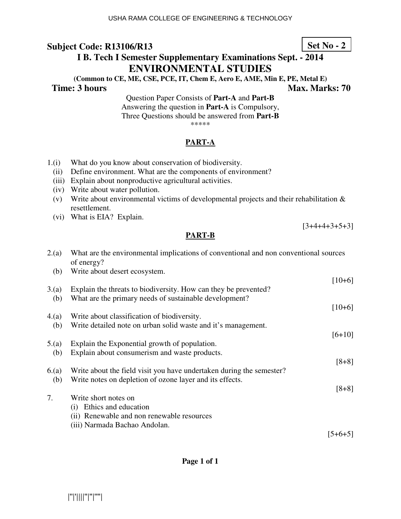# **I B. Tech I Semester Supplementary Examinations Sept. - 2014 ENVIRONMENTAL STUDIES**

**(Common to CE, ME, CSE, PCE, IT, Chem E, Aero E, AME, Min E, PE, Metal E)** 

#### **Time: 3 hours Max. Marks: 70 Max. Marks: 70**

Question Paper Consists of **Part-A** and **Part-B** Answering the question in **Part-A** is Compulsory, Three Questions should be answered from **Part-B** \*\*\*\*\*

### **PART-A**

- 1.(i) What do you know about conservation of biodiversity.
	- (ii) Define environment. What are the components of environment?
	- (iii) Explain about nonproductive agricultural activities.
	- (iv) Write about water pollution.
	- (v) Write about environmental victims of developmental projects and their rehabilitation & resettlement.
	- (vi) What is EIA? Explain.

### **PART-B**

| 2(a) | What are the environmental implications of conventional and non conventional sources<br>of energy? |          |
|------|----------------------------------------------------------------------------------------------------|----------|
| (b)  | Write about desert ecosystem.                                                                      |          |
|      |                                                                                                    | $[10+6]$ |
| 3(a) | Explain the threats to biodiversity. How can they be prevented?                                    |          |
| (b)  | What are the primary needs of sustainable development?                                             |          |
|      |                                                                                                    | $[10+6]$ |
| 4(a) | Write about classification of biodiversity.                                                        |          |
| (b)  | Write detailed note on urban solid waste and it's management.                                      |          |
|      |                                                                                                    | $[6+10]$ |
| 5(a) | Explain the Exponential growth of population.                                                      |          |
| (b)  | Explain about consumerism and waste products.                                                      |          |
|      |                                                                                                    | $[8+8]$  |
| 6(a) | Write about the field visit you have undertaken during the semester?                               |          |
| (b)  | Write notes on depletion of ozone layer and its effects.                                           |          |
|      |                                                                                                    | $[8+8]$  |
| 7.   | Write short notes on                                                                               |          |
|      | (i) Ethics and education                                                                           |          |
|      | (ii) Renewable and non renewable resources                                                         |          |
|      |                                                                                                    |          |

(iii) Narmada Bachao Andolan.

 $[5+6+5]$ 

**Page 1 of 1** 

**Set No - 2**

 $[3+4+4+3+5+3]$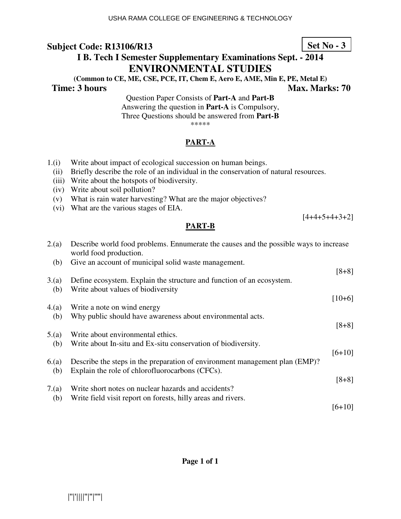# **I B. Tech I Semester Supplementary Examinations Sept. - 2014 ENVIRONMENTAL STUDIES**

**(Common to CE, ME, CSE, PCE, IT, Chem E, Aero E, AME, Min E, PE, Metal E)** 

### **Time: 3 hours** Max. Marks: 70

Question Paper Consists of **Part-A** and **Part-B** Answering the question in **Part-A** is Compulsory, Three Questions should be answered from **Part-B** \*\*\*\*\*

### **PART-A**

- 1.(i) Write about impact of ecological succession on human beings.
	- (ii) Briefly describe the role of an individual in the conservation of natural resources.
	- (iii) Write about the hotspots of biodiversity.
	- (iv) Write about soil pollution?
	- (v) What is rain water harvesting? What are the major objectives?
	- (vi) What are the various stages of EIA.

### **PART-B**

| 2(a)        | Describe world food problems. Ennumerate the causes and the possible ways to increase<br>world food production.                |          |
|-------------|--------------------------------------------------------------------------------------------------------------------------------|----------|
| (b)         | Give an account of municipal solid waste management.                                                                           | $[8+8]$  |
| 3(a)<br>(b) | Define ecosystem. Explain the structure and function of an ecosystem.<br>Write about values of biodiversity                    |          |
| 4(a)        | Write a note on wind energy                                                                                                    | $[10+6]$ |
| (b)         | Why public should have awareness about environmental acts.                                                                     | $[8+8]$  |
| 5.(a)       | Write about environmental ethics.                                                                                              |          |
| (b)         | Write about In-situ and Ex-situ conservation of biodiversity.                                                                  | $[6+10]$ |
| 6(a)<br>(b) | Describe the steps in the preparation of environment management plan (EMP)?<br>Explain the role of chlorofluorocarbons (CFCs). |          |
| 7(a)        | Write short notes on nuclear hazards and accidents?                                                                            | $[8+8]$  |
| (b)         | Write field visit report on forests, hilly areas and rivers.                                                                   | [6+10]   |

**Set No - 3**

 $[4+4+5+4+3+2]$